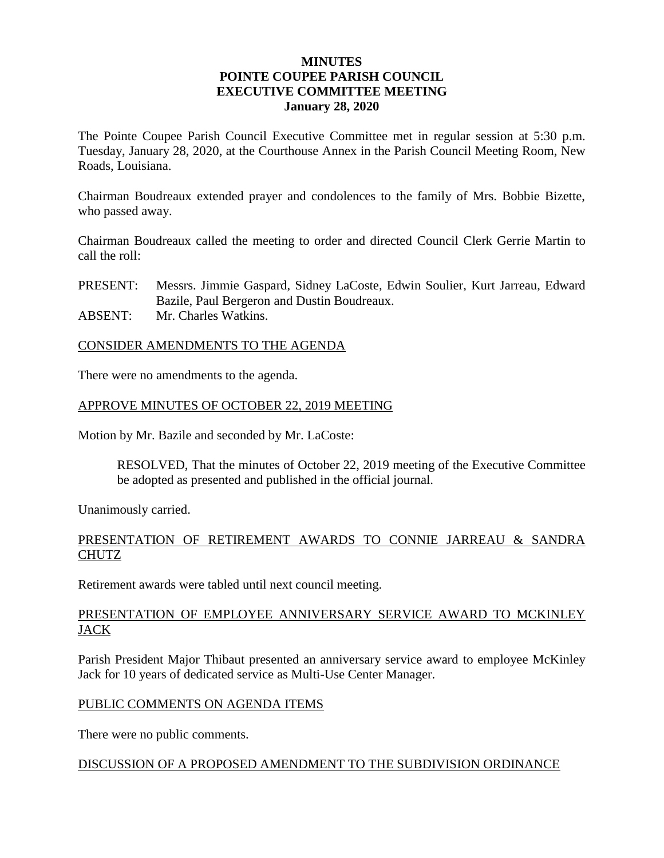# **MINUTES POINTE COUPEE PARISH COUNCIL EXECUTIVE COMMITTEE MEETING January 28, 2020**

The Pointe Coupee Parish Council Executive Committee met in regular session at 5:30 p.m. Tuesday, January 28, 2020, at the Courthouse Annex in the Parish Council Meeting Room, New Roads, Louisiana.

Chairman Boudreaux extended prayer and condolences to the family of Mrs. Bobbie Bizette, who passed away.

Chairman Boudreaux called the meeting to order and directed Council Clerk Gerrie Martin to call the roll:

PRESENT: Messrs. Jimmie Gaspard, Sidney LaCoste, Edwin Soulier, Kurt Jarreau, Edward Bazile, Paul Bergeron and Dustin Boudreaux.

ABSENT: Mr. Charles Watkins.

### CONSIDER AMENDMENTS TO THE AGENDA

There were no amendments to the agenda.

# APPROVE MINUTES OF OCTOBER 22, 2019 MEETING

Motion by Mr. Bazile and seconded by Mr. LaCoste:

RESOLVED, That the minutes of October 22, 2019 meeting of the Executive Committee be adopted as presented and published in the official journal.

Unanimously carried.

# PRESENTATION OF RETIREMENT AWARDS TO CONNIE JARREAU & SANDRA CHUTZ

Retirement awards were tabled until next council meeting.

# PRESENTATION OF EMPLOYEE ANNIVERSARY SERVICE AWARD TO MCKINLEY JACK

Parish President Major Thibaut presented an anniversary service award to employee McKinley Jack for 10 years of dedicated service as Multi-Use Center Manager.

### PUBLIC COMMENTS ON AGENDA ITEMS

There were no public comments.

### DISCUSSION OF A PROPOSED AMENDMENT TO THE SUBDIVISION ORDINANCE